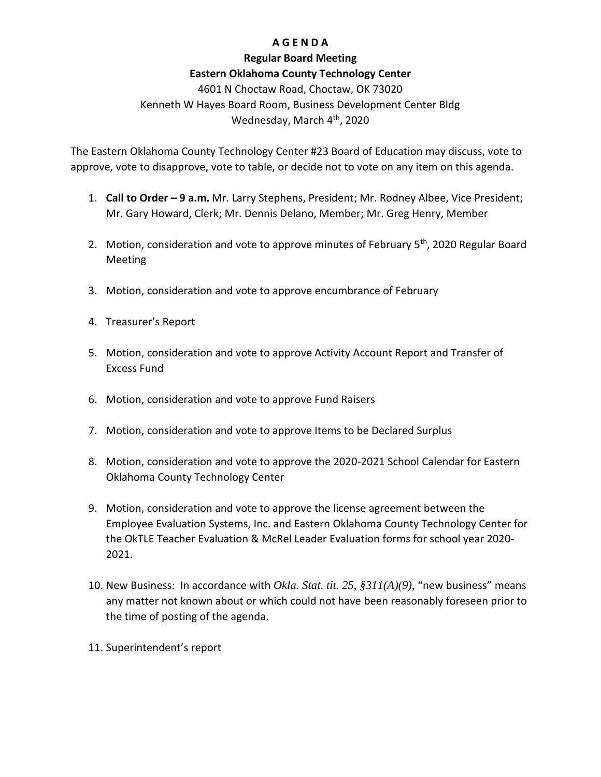# **A G E N D A**

## **Regular Board Meeting**

## **Eastern Oklahoma County Technology Center**

4601 N Choctaw Road, Choctaw, OK 73020 Kenneth W Hayes Board Room, Business Development Center Bldg Wednesday, March 4<sup>th</sup>, 2020

The Eastern Oklahoma County Technology Center #23 Board of Education may discuss, vote to approve, vote to disapprove, vote to table, or decide not to vote on any item on this agenda.

- 1. **Call to Order – 9 a.m.** Mr. Larry Stephens, President; Mr. Rodney Albee, Vice President; Mr. Gary Howard, Clerk; Mr. Dennis Delano, Member; Mr. Greg Henry, Member
- 2. Motion, consideration and vote to approve minutes of February 5<sup>th</sup>, 2020 Regular Board Meeting
- 3. Motion, consideration and vote to approve encumbrance of February
- 4. Treasurer's Report
- 5. Motion, consideration and vote to approve Activity Account Report and Transfer of Excess Fund
- 6. Motion, consideration and vote to approve Fund Raisers
- 7. Motion, consideration and vote to approve Items to be Declared Surplus
- 8. Motion, consideration and vote to approve the 2020-2021 School Calendar for Eastern Oklahoma County Technology Center
- 9. Motion, consideration and vote to approve the license agreement between the Employee Evaluation Systems, Inc. and Eastern Oklahoma County Technology Center for the OkTLE Teacher Evaluation & McRel Leader Evaluation forms for school year 2020- 2021.
- 10. New Business: In accordance with *Okla. Stat. tit. 25, §311(A)(9)*, "new business" means any matter not known about or which could not have been reasonably foreseen prior to the time of posting of the agenda.
- 11. Superintendent's report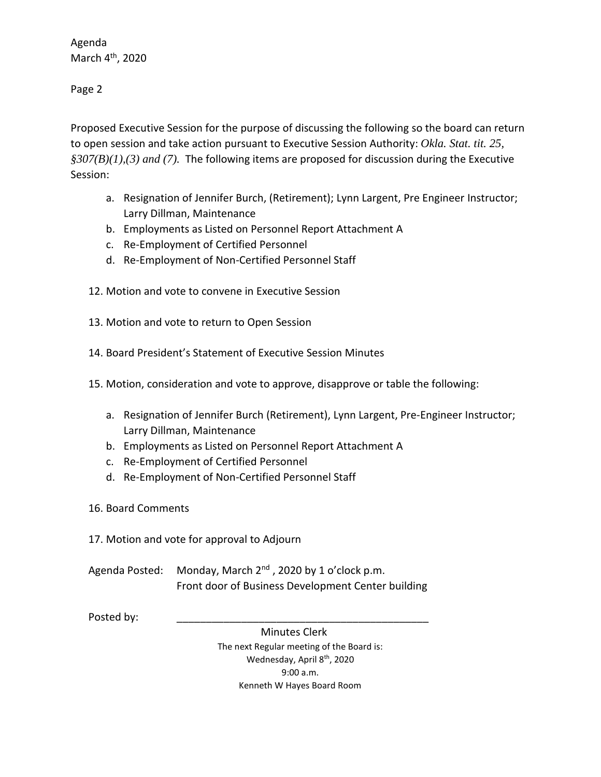Agenda March 4th, 2020

Page 2

Proposed Executive Session for the purpose of discussing the following so the board can return to open session and take action pursuant to Executive Session Authority: *Okla. Stat. tit. 25, §307(B)(1),(3) and (7).* The following items are proposed for discussion during the Executive Session:

- a. Resignation of Jennifer Burch, (Retirement); Lynn Largent, Pre Engineer Instructor; Larry Dillman, Maintenance
- b. Employments as Listed on Personnel Report Attachment A
- c. Re-Employment of Certified Personnel
- d. Re-Employment of Non-Certified Personnel Staff
- 12. Motion and vote to convene in Executive Session
- 13. Motion and vote to return to Open Session
- 14. Board President's Statement of Executive Session Minutes
- 15. Motion, consideration and vote to approve, disapprove or table the following:
	- a. Resignation of Jennifer Burch (Retirement), Lynn Largent, Pre-Engineer Instructor; Larry Dillman, Maintenance
	- b. Employments as Listed on Personnel Report Attachment A
	- c. Re-Employment of Certified Personnel
	- d. Re-Employment of Non-Certified Personnel Staff
- 16. Board Comments
- 17. Motion and vote for approval to Adjourn
- Agenda Posted: Monday, March  $2^{nd}$ , 2020 by 1 o'clock p.m. Front door of Business Development Center building

Posted by:

 Minutes Clerk The next Regular meeting of the Board is: Wednesday, April 8<sup>th</sup>, 2020 9:00 a.m. Kenneth W Hayes Board Room